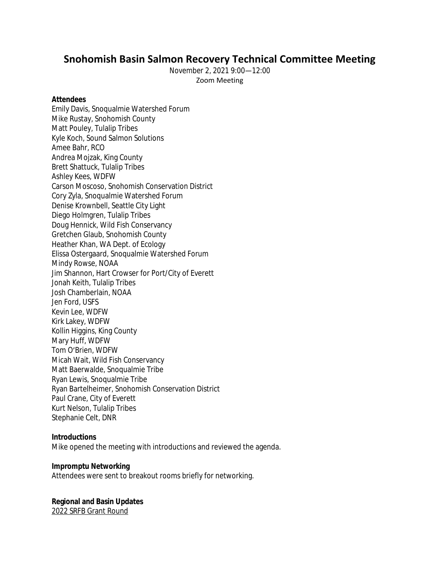# **Snohomish Basin Salmon Recovery Technical Committee Meeting**

November 2, 2021 9:00—12:00 Zoom Meeting

#### **Attendees**

Emily Davis, Snoqualmie Watershed Forum Mike Rustay, Snohomish County Matt Pouley, Tulalip Tribes Kyle Koch, Sound Salmon Solutions Amee Bahr, RCO Andrea Mojzak, King County Brett Shattuck, Tulalip Tribes Ashley Kees, WDFW Carson Moscoso, Snohomish Conservation District Cory Zyla, Snoqualmie Watershed Forum Denise Krownbell, Seattle City Light Diego Holmgren, Tulalip Tribes Doug Hennick, Wild Fish Conservancy Gretchen Glaub, Snohomish County Heather Khan, WA Dept. of Ecology Elissa Ostergaard, Snoqualmie Watershed Forum Mindy Rowse, NOAA Jim Shannon, Hart Crowser for Port/City of Everett Jonah Keith, Tulalip Tribes Josh Chamberlain, NOAA Jen Ford, USFS Kevin Lee, WDFW Kirk Lakey, WDFW Kollin Higgins, King County Mary Huff, WDFW Tom O'Brien, WDFW Micah Wait, Wild Fish Conservancy Matt Baerwalde, Snoqualmie Tribe Ryan Lewis, Snoqualmie Tribe Ryan Bartelheimer, Snohomish Conservation District Paul Crane, City of Everett Kurt Nelson, Tulalip Tribes Stephanie Celt, DNR

#### **Introductions**

Mike opened the meeting with introductions and reviewed the agenda.

#### **Impromptu Networking**

Attendees were sent to breakout rooms briefly for networking.

# **Regional and Basin Updates**

2022 SRFB Grant Round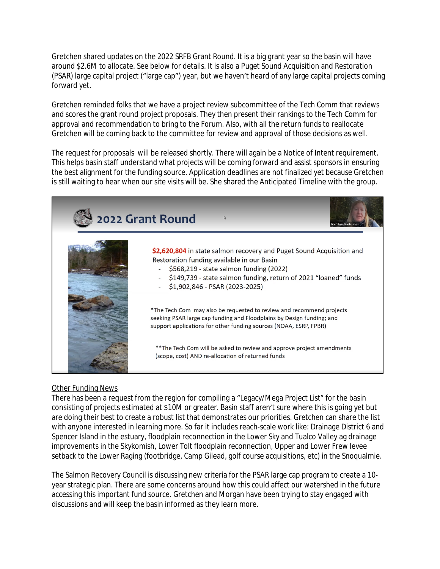Gretchen shared updates on the 2022 SRFB Grant Round. It is a big grant year so the basin will have around \$2.6M to allocate. See below for details. It is also a Puget Sound Acquisition and Restoration (PSAR) large capital project ("large cap") year, but we haven't heard of any large capital projects coming forward yet.

Gretchen reminded folks that we have a project review subcommittee of the Tech Comm that reviews and scores the grant round project proposals. They then present their rankings to the Tech Comm for approval and recommendation to bring to the Forum. Also, with all the return funds to reallocate Gretchen will be coming back to the committee for review and approval of those decisions as well.

The request for proposals will be released shortly. There will again be a Notice of Intent requirement. This helps basin staff understand what projects will be coming forward and assist sponsors in ensuring the best alignment for the funding source. Application deadlines are not finalized yet because Gretchen is still waiting to hear when our site visits will be. She shared the Anticipated Timeline with the group.



# Other Funding News

There has been a request from the region for compiling a "Legacy/Mega Project List" for the basin consisting of projects estimated at \$10M or greater. Basin staff aren't sure where this is going yet but are doing their best to create a robust list that demonstrates our priorities. Gretchen can share the list with anyone interested in learning more. So far it includes reach-scale work like: Drainage District 6 and Spencer Island in the estuary, floodplain reconnection in the Lower Sky and Tualco Valley ag drainage improvements in the Skykomish, Lower Tolt floodplain reconnection, Upper and Lower Frew levee setback to the Lower Raging (footbridge, Camp Gilead, golf course acquisitions, etc) in the Snoqualmie.

The Salmon Recovery Council is discussing new criteria for the PSAR large cap program to create a 10 year strategic plan. There are some concerns around how this could affect our watershed in the future accessing this important fund source. Gretchen and Morgan have been trying to stay engaged with discussions and will keep the basin informed as they learn more.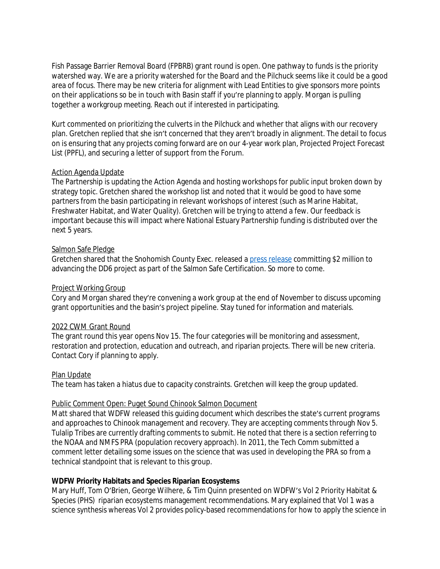Fish Passage Barrier Removal Board (FPBRB) grant round is open. One pathway to funds is the priority watershed way. We are a priority watershed for the Board and the Pilchuck seems like it could be a good area of focus. There may be new criteria for alignment with Lead Entities to give sponsors more points on their applications so be in touch with Basin staff if you're planning to apply. Morgan is pulling together a workgroup meeting. Reach out if interested in participating.

Kurt commented on prioritizing the culverts in the Pilchuck and whether that aligns with our recovery plan. Gretchen replied that she isn't concerned that they aren't broadly in alignment. The detail to focus on is ensuring that any projects coming forward are on our 4-year work plan, Projected Project Forecast List (PPFL), and securing a letter of support from the Forum.

#### Action Agenda Update

The Partnership is updating the Action Agenda and hosting workshops for public input broken down by strategy topic. Gretchen shared the workshop list and noted that it would be good to have some partners from the basin participating in relevant workshops of interest (such as Marine Habitat, Freshwater Habitat, and Water Quality). Gretchen will be trying to attend a few. Our feedback is important because this will impact where National Estuary Partnership funding is distributed over the next 5 years.

# Salmon Safe Pledge

Gretchen shared that the Snohomish County Exec. released a [press release](https://snohomishcountywa.gov/DocumentCenter/View/85662/Snohomish-County-Pledges-to-Keep-Puget-Sound-and-Salmon-Safe) committing \$2 million to advancing the DD6 project as part of the Salmon Safe Certification. So more to come.

# Project Working Group

Cory and Morgan shared they're convening a work group at the end of November to discuss upcoming grant opportunities and the basin's project pipeline. Stay tuned for information and materials.

# 2022 CWM Grant Round

The grant round this year opens Nov 15. The four categories will be monitoring and assessment, restoration and protection, education and outreach, and riparian projects. There will be new criteria. Contact Cory if planning to apply.

#### Plan Update

The team has taken a hiatus due to capacity constraints. Gretchen will keep the group updated.

#### Public Comment Open: Puget Sound Chinook Salmon Document

Matt shared that WDFW released this guiding document which describes the state's current programs and approaches to Chinook management and recovery. They are accepting comments through Nov 5. Tulalip Tribes are currently drafting comments to submit. He noted that there is a section referring to the NOAA and NMFS PRA (population recovery approach). In 2011, the Tech Comm submitted a comment letter detailing some issues on the science that was used in developing the PRA so from a technical standpoint that is relevant to this group.

# **WDFW Priority Habitats and Species Riparian Ecosystems**

Mary Huff, Tom O'Brien, George Wilhere, & Tim Quinn presented on WDFW's Vol 2 Priority Habitat & Species (PHS) riparian ecosystems management recommendations. Mary explained that Vol 1 was a science synthesis whereas Vol 2 provides policy-based recommendations for how to apply the science in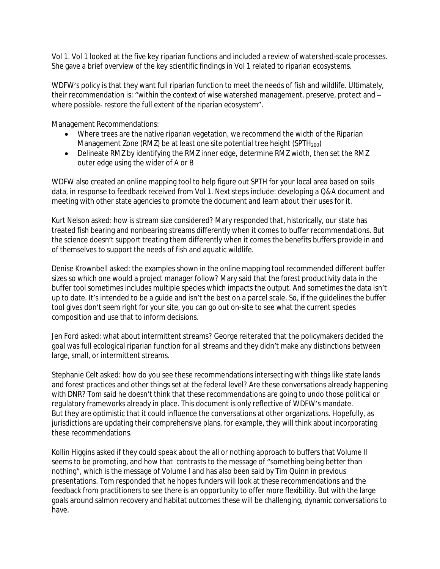Vol 1. Vol 1 looked at the five key riparian functions and included a review of watershed-scale processes. She gave a brief overview of the key scientific findings in Vol 1 related to riparian ecosystems.

WDFW's policy is that they want full riparian function to meet the needs of fish and wildlife. Ultimately, their recommendation is: "within the context of wise watershed management, preserve, protect and – where possible- restore the full extent of the riparian ecosystem".

Management Recommendations:

- Where trees are the native riparian vegetation, we recommend the width of the Riparian Management Zone (RMZ) be at least one site potential tree height (SPTH<sub>200</sub>)
- Delineate RMZ by identifying the RMZ inner edge, determine RMZ width, then set the RMZ outer edge using the wider of A or B

WDFW also created an online mapping tool to help figure out SPTH for your local area based on soils data, in response to feedback received from Vol 1. Next steps include: developing a Q&A document and meeting with other state agencies to promote the document and learn about their uses for it.

Kurt Nelson asked: how is stream size considered? Mary responded that, historically, our state has treated fish bearing and nonbearing streams differently when it comes to buffer recommendations. But the science doesn't support treating them differently when it comes the benefits buffers provide in and of themselves to support the needs of fish and aquatic wildlife.

Denise Krownbell asked: the examples shown in the online mapping tool recommended different buffer sizes so which one would a project manager follow? Mary said that the forest productivity data in the buffer tool sometimes includes multiple species which impacts the output. And sometimes the data isn't up to date. It's intended to be a guide and isn't the best on a parcel scale. So, if the guidelines the buffer tool gives don't seem right for your site, you can go out on-site to see what the current species composition and use that to inform decisions.

Jen Ford asked: what about intermittent streams? George reiterated that the policymakers decided the goal was full ecological riparian function for all streams and they didn't make any distinctions between large, small, or intermittent streams.

Stephanie Celt asked: how do you see these recommendations intersecting with things like state lands and forest practices and other things set at the federal level? Are these conversations already happening with DNR? Tom said he doesn't think that these recommendations are going to undo those political or regulatory frameworks already in place. This document is only reflective of WDFW's mandate. But they are optimistic that it could influence the conversations at other organizations. Hopefully, as jurisdictions are updating their comprehensive plans, for example, they will think about incorporating these recommendations.

Kollin Higgins asked if they could speak about the all or nothing approach to buffers that Volume II seems to be promoting, and how that contrasts to the message of "something being better than nothing", which is the message of Volume I and has also been said by Tim Quinn in previous presentations. Tom responded that he hopes funders will look at these recommendations and the feedback from practitioners to see there is an opportunity to offer more flexibility. But with the large goals around salmon recovery and habitat outcomes these will be challenging, dynamic conversations to have.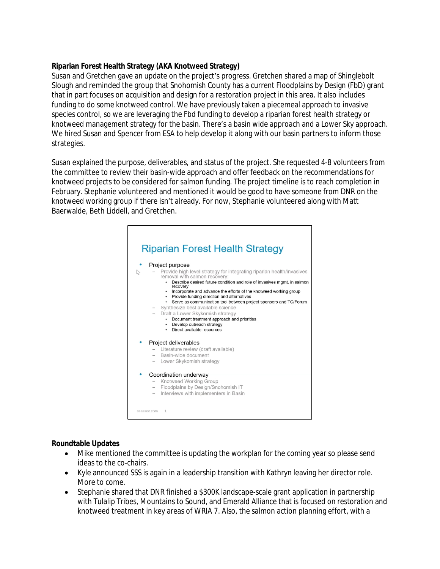# **Riparian Forest Health Strategy (AKA Knotweed Strategy)**

Susan and Gretchen gave an update on the project's progress. Gretchen shared a map of Shinglebolt Slough and reminded the group that Snohomish County has a current Floodplains by Design (FbD) grant that in part focuses on acquisition and design for a restoration project in this area. It also includes funding to do some knotweed control. We have previously taken a piecemeal approach to invasive species control, so we are leveraging the Fbd funding to develop a riparian forest health strategy or knotweed management strategy for the basin. There's a basin wide approach and a Lower Sky approach. We hired Susan and Spencer from ESA to help develop it along with our basin partners to inform those strategies.

Susan explained the purpose, deliverables, and status of the project. She requested 4-8 volunteers from the committee to review their basin-wide approach and offer feedback on the recommendations for knotweed projects to be considered for salmon funding. The project timeline is to reach completion in February. Stephanie volunteered and mentioned it would be good to have someone from DNR on the knotweed working group if there isn't already. For now, Stephanie volunteered along with Matt Baerwalde, Beth Liddell, and Gretchen.



# **Roundtable Updates**

- Mike mentioned the committee is updating the workplan for the coming year so please send ideas to the co-chairs.
- Kyle announced SSS is again in a leadership transition with Kathryn leaving her director role. More to come.
- Stephanie shared that DNR finished a \$300K landscape-scale grant application in partnership with Tulalip Tribes, Mountains to Sound, and Emerald Alliance that is focused on restoration and knotweed treatment in key areas of WRIA 7. Also, the salmon action planning effort, with a